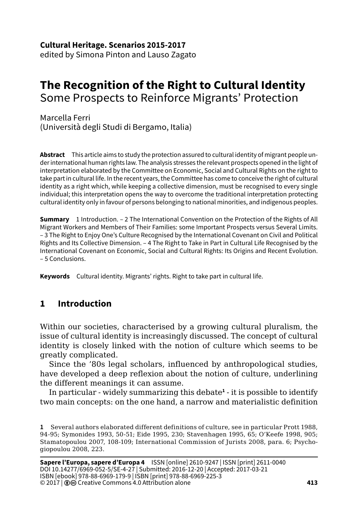**Cultural Heritage. Scenarios 2015-2017**

edited by Simona Pinton and Lauso Zagato

# **The Recognition of the Right to Cultural Identity** Some Prospects to Reinforce Migrants' Protection

Marcella Ferri (Università degli Studi di Bergamo, Italia)

**Abstract** This article aims to study the protection assured to cultural identity of migrant people under international human rights law. The analysis stresses the relevant prospects opened in the light of interpretation elaborated by the Committee on Economic, Social and Cultural Rights on the right to take part in cultural life. In the recent years, the Committee has come to conceive the right of cultural identity as a right which, while keeping a collective dimension, must be recognised to every single individual; this interpretation opens the way to overcome the traditional interpretation protecting cultural identity only in favour of persons belonging to national minorities, and indigenous peoples.

**Summary** 1 Introduction. – 2 The International Convention on the Protection of the Rights of All Migrant Workers and Members of Their Families: some Important Prospects versus Several Limits. – 3 The Right to Enjoy One's Culture Recognised by the International Covenant on Civil and Political Rights and Its Collective Dimension. – 4 The Right to Take in Part in Cultural Life Recognised by the International Covenant on Economic, Social and Cultural Rights: Its Origins and Recent Evolution. – 5 Conclusions.

**Keywords** Cultural identity. Migrants' rights. Right to take part in cultural life.

## **1 Introduction**

Within our societies, characterised by a growing cultural pluralism, the issue of cultural identity is increasingly discussed. The concept of cultural identity is closely linked with the notion of culture which seems to be greatly complicated.

Since the '80s legal scholars, influenced by anthropological studies, have developed a deep reflexion about the notion of culture, underlining the different meanings it can assume.

In particular - widely summarizing this debate<sup>1</sup> - it is possible to identify two main concepts: on the one hand, a narrow and materialistic definition

**<sup>1</sup>** Several authors elaborated different definitions of culture, see in particular Prott 1988, 94-95; Symonides 1993, 50-51; Eide 1995, 230; Stavenhagen 1995, 65; O'Keefe 1998, 905; Stamatopoulou 2007, 108-109; International Commission of Jurists 2008, para. 6; Psychogiopoulou 2008, 223.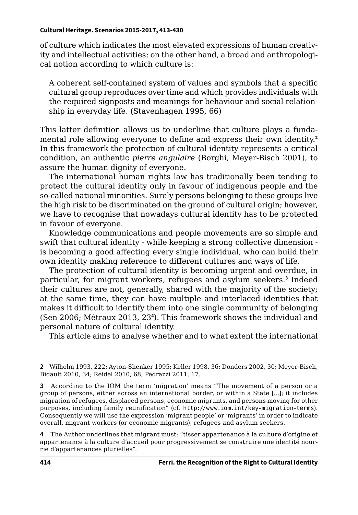of culture which indicates the most elevated expressions of human creativity and intellectual activities; on the other hand, a broad and anthropological notion according to which culture is:

A coherent self-contained system of values and symbols that a specific cultural group reproduces over time and which provides individuals with the required signposts and meanings for behaviour and social relationship in everyday life. (Stavenhagen 1995, 66)

This latter definition allows us to underline that culture plays a fundamental role allowing everyone to define and express their own identity.**<sup>2</sup>** In this framework the protection of cultural identity represents a critical condition, an authentic *pierre angulaire* (Borghi, Meyer-Bisch 2001), to assure the human dignity of everyone.

The international human rights law has traditionally been tending to protect the cultural identity only in favour of indigenous people and the so-called national minorities. Surely persons belonging to these groups live the high risk to be discriminated on the ground of cultural origin; however, we have to recognise that nowadays cultural identity has to be protected in favour of everyone.

Knowledge communications and people movements are so simple and swift that cultural identity - while keeping a strong collective dimension is becoming a good affecting every single individual, who can build their own identity making reference to different cultures and ways of life.

The protection of cultural identity is becoming urgent and overdue, in particular, for migrant workers, refugees and asylum seekers.**<sup>3</sup>** Indeed their cultures are not, generally, shared with the majority of the society; at the same time, they can have multiple and interlaced identities that makes it difficult to identify them into one single community of belonging (Sen 2006; Métraux 2013, 23**<sup>4</sup>** ). This framework shows the individual and personal nature of cultural identity.

This article aims to analyse whether and to what extent the international

**4** The Author underlines that migrant must: "tisser appartenance à la culture d'origine et appartenance à la culture d'accueil pour progressivement se construire une identité nourrie d'appartenances plurielles".

**<sup>2</sup>** Wilhelm 1993, 222; Ayton-Shenker 1995; Keller 1998, 36; Donders 2002, 30; Meyer-Bisch, Bidault 2010, 34; Reidel 2010, 68; Pedrazzi 2011, 17.

**<sup>3</sup>** According to the IOM the term 'migration' means "The movement of a person or a group of persons, either across an international border, or within a State […]; it includes migration of refugees, displaced persons, economic migrants, and persons moving for other purposes, including family reunification" (cf. <http://www.iom.int/key-migration-terms>). Consequently we will use the expression 'migrant people' or 'migrants' in order to indicate overall, migrant workers (or economic migrants), refugees and asylum seekers.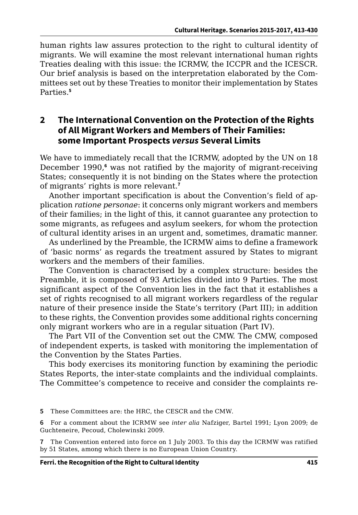human rights law assures protection to the right to cultural identity of migrants. We will examine the most relevant international human rights Treaties dealing with this issue: the ICRMW, the ICCPR and the ICESCR. Our brief analysis is based on the interpretation elaborated by the Committees set out by these Treaties to monitor their implementation by States Parties.**<sup>5</sup>**

#### **2 The International Convention on the Protection of the Rights of All Migrant Workers and Members of Their Families: some Important Prospects** *versus* **Several Limits**

We have to immediately recall that the ICRMW, adopted by the UN on 18 December 1990,<sup>6</sup> was not ratified by the majority of migrant-receiving States; consequently it is not binding on the States where the protection of migrants' rights is more relevant.**<sup>7</sup>**

Another important specification is about the Convention's field of application *ratione personae*: it concerns only migrant workers and members of their families; in the light of this, it cannot guarantee any protection to some migrants, as refugees and asylum seekers, for whom the protection of cultural identity arises in an urgent and, sometimes, dramatic manner.

As underlined by the Preamble, the ICRMW aims to define a framework of 'basic norms' as regards the treatment assured by States to migrant workers and the members of their families.

The Convention is characterised by a complex structure: besides the Preamble, it is composed of 93 Articles divided into 9 Parties. The most significant aspect of the Convention lies in the fact that it establishes a set of rights recognised to all migrant workers regardless of the regular nature of their presence inside the State's territory (Part III); in addition to these rights, the Convention provides some additional rights concerning only migrant workers who are in a regular situation (Part IV).

The Part VII of the Convention set out the CMW. The CMW, composed of independent experts, is tasked with monitoring the implementation of the Convention by the States Parties.

This body exercises its monitoring function by examining the periodic States Reports, the inter-state complaints and the individual complaints. The Committee's competence to receive and consider the complaints re-

**5** These Committees are: the HRC, the CESCR and the CMW.

**6** For a comment about the ICRMW see *inter alia* Nafziger, Bartel 1991; Lyon 2009; de Guchteneire, Pecoud, Cholewinski 2009.

**7** The Convention entered into force on 1 July 2003. To this day the ICRMW was ratified by 51 States, among which there is no European Union Country.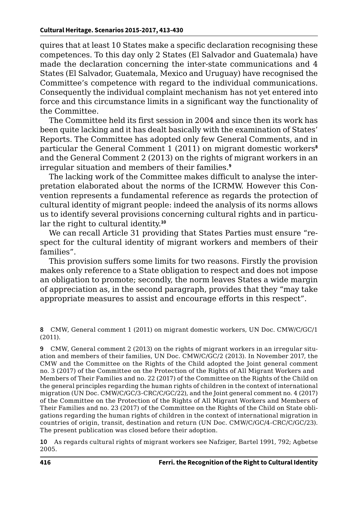quires that at least 10 States make a specific declaration recognising these competences. To this day only 2 States (El Salvador and Guatemala) have made the declaration concerning the inter-state communications and 4 States (El Salvador, Guatemala, Mexico and Uruguay) have recognised the Committee's competence with regard to the individual communications. Consequently the individual complaint mechanism has not yet entered into force and this circumstance limits in a significant way the functionality of the Committee.

The Committee held its first session in 2004 and since then its work has been quite lacking and it has dealt basically with the examination of States' Reports. The Committee has adopted only few General Comments, and in particular the General Comment 1 (2011) on migrant domestic workers**<sup>8</sup>** and the General Comment 2 (2013) on the rights of migrant workers in an irregular situation and members of their families.**<sup>9</sup>**

The lacking work of the Committee makes difficult to analyse the interpretation elaborated about the norms of the ICRMW. However this Convention represents a fundamental reference as regards the protection of cultural identity of migrant people: indeed the analysis of its norms allows us to identify several provisions concerning cultural rights and in particular the right to cultural identity.**<sup>10</sup>**

We can recall Article 31 providing that States Parties must ensure "respect for the cultural identity of migrant workers and members of their families".

This provision suffers some limits for two reasons. Firstly the provision makes only reference to a State obligation to respect and does not impose an obligation to promote; secondly, the norm leaves States a wide margin of appreciation as, in the second paragraph, provides that they "may take appropriate measures to assist and encourage efforts in this respect".

**8** CMW, General comment 1 (2011) on migrant domestic workers, UN Doc. CMW/C/GC/1 (2011).

**9** CMW, General comment 2 (2013) on the rights of migrant workers in an irregular situation and members of their families, UN Doc. CMW/C/GC/2 (2013). In November 2017, the CMW and the Committee on the Rights of the Child adopted the Joint general comment no. 3 (2017) of the Committee on the Protection of the Rights of All Migrant Workers and Members of Their Families and no. 22 (2017) of the Committee on the Rights of the Child on the general principles regarding the human rights of children in the context of international migration (UN Doc. CMW/C/GC/3-CRC/C/GC/22), and the Joint general comment no. 4 (2017) of the Committee on the Protection of the Rights of All Migrant Workers and Members of Their Families and no. 23 (2017) of the Committee on the Rights of the Child on State obligations regarding the human rights of children in the context of international migration in countries of origin, transit, destination and return (UN Doc. CMW/C/GC/4-CRC/C/GC/23). The present publication was closed before their adoption.

**10** As regards cultural rights of migrant workers see Nafziger, Bartel 1991, 792; Agbetse 2005.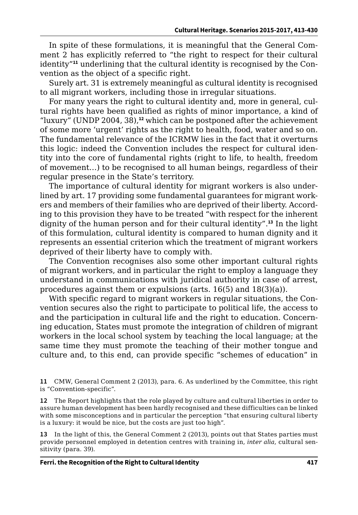In spite of these formulations, it is meaningful that the General Comment 2 has explicitly referred to "the right to respect for their cultural identity"**11** underlining that the cultural identity is recognised by the Convention as the object of a specific right.

Surely art. 31 is extremely meaningful as cultural identity is recognised to all migrant workers, including those in irregular situations.

For many years the right to cultural identity and, more in general, cultural rights have been qualified as rights of minor importance, a kind of "luxury" (UNDP 2004, 38),**<sup>12</sup>** which can be postponed after the achievement of some more 'urgent' rights as the right to health, food, water and so on. The fundamental relevance of the ICRMW lies in the fact that it overturns this logic: indeed the Convention includes the respect for cultural identity into the core of fundamental rights (right to life, to health, freedom of movement…) to be recognised to all human beings, regardless of their regular presence in the State's territory.

The importance of cultural identity for migrant workers is also underlined by art. 17 providing some fundamental guarantees for migrant workers and members of their families who are deprived of their liberty. According to this provision they have to be treated "with respect for the inherent dignity of the human person and for their cultural identity".**<sup>13</sup>** In the light of this formulation, cultural identity is compared to human dignity and it represents an essential criterion which the treatment of migrant workers deprived of their liberty have to comply with.

The Convention recognises also some other important cultural rights of migrant workers, and in particular the right to employ a language they understand in communications with juridical authority in case of arrest, procedures against them or expulsions (arts. 16(5) and 18(3)(a)).

With specific regard to migrant workers in regular situations, the Convention secures also the right to participate to political life, the access to and the participation in cultural life and the right to education. Concerning education, States must promote the integration of children of migrant workers in the local school system by teaching the local language; at the same time they must promote the teaching of their mother tongue and culture and, to this end, can provide specific "schemes of education" in

**11** CMW, General Comment 2 (2013), para. 6. As underlined by the Committee, this right is "Convention-specific".

**12** The Report highlights that the role played by culture and cultural liberties in order to assure human development has been hardly recognised and these difficulties can be linked with some misconceptions and in particular the perception "that ensuring cultural liberty is a luxury: it would be nice, but the costs are just too high".

**13** In the light of this, the General Comment 2 (2013), points out that States parties must provide personnel employed in detention centres with training in, *inter alia*, cultural sensitivity (para. 39).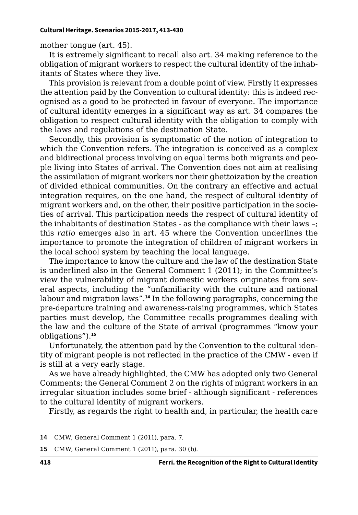mother tongue (art. 45).

It is extremely significant to recall also art. 34 making reference to the obligation of migrant workers to respect the cultural identity of the inhabitants of States where they live.

This provision is relevant from a double point of view. Firstly it expresses the attention paid by the Convention to cultural identity: this is indeed recognised as a good to be protected in favour of everyone. The importance of cultural identity emerges in a significant way as art. 34 compares the obligation to respect cultural identity with the obligation to comply with the laws and regulations of the destination State.

Secondly, this provision is symptomatic of the notion of integration to which the Convention refers. The integration is conceived as a complex and bidirectional process involving on equal terms both migrants and people living into States of arrival. The Convention does not aim at realising the assimilation of migrant workers nor their ghettoization by the creation of divided ethnical communities. On the contrary an effective and actual integration requires, on the one hand, the respect of cultural identity of migrant workers and, on the other, their positive participation in the societies of arrival. This participation needs the respect of cultural identity of the inhabitants of destination States - as the compliance with their laws –; this *ratio* emerges also in art. 45 where the Convention underlines the importance to promote the integration of children of migrant workers in the local school system by teaching the local language.

The importance to know the culture and the law of the destination State is underlined also in the General Comment 1 (2011); in the Committee's view the vulnerability of migrant domestic workers originates from several aspects, including the "unfamiliarity with the culture and national labour and migration laws".**<sup>14</sup>** In the following paragraphs, concerning the pre-departure training and awareness-raising programmes, which States parties must develop, the Committee recalls programmes dealing with the law and the culture of the State of arrival (programmes "know your obligations").**<sup>15</sup>**

Unfortunately, the attention paid by the Convention to the cultural identity of migrant people is not reflected in the practice of the CMW - even if is still at a very early stage.

As we have already highlighted, the CMW has adopted only two General Comments; the General Comment 2 on the rights of migrant workers in an irregular situation includes some brief - although significant - references to the cultural identity of migrant workers.

Firstly, as regards the right to health and, in particular, the health care

**14** CMW, General Comment 1 (2011), para. 7.

**15** CMW, General Comment 1 (2011), para. 30 (b).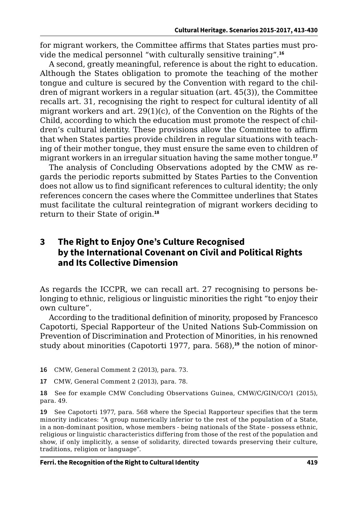for migrant workers, the Committee affirms that States parties must provide the medical personnel "with culturally sensitive training".**<sup>16</sup>**

A second, greatly meaningful, reference is about the right to education. Although the States obligation to promote the teaching of the mother tongue and culture is secured by the Convention with regard to the children of migrant workers in a regular situation (art. 45(3)), the Committee recalls art. 31, recognising the right to respect for cultural identity of all migrant workers and art. 29(1)(c), of the Convention on the Rights of the Child, according to which the education must promote the respect of children's cultural identity. These provisions allow the Committee to affirm that when States parties provide children in regular situations with teaching of their mother tongue, they must ensure the same even to children of migrant workers in an irregular situation having the same mother tongue.**<sup>17</sup>**

The analysis of Concluding Observations adopted by the CMW as regards the periodic reports submitted by States Parties to the Convention does not allow us to find significant references to cultural identity; the only references concern the cases where the Committee underlines that States must facilitate the cultural reintegration of migrant workers deciding to return to their State of origin.**<sup>18</sup>**

#### **3 The Right to Enjoy One's Culture Recognised by the International Covenant on Civil and Political Rights and Its Collective Dimension**

As regards the ICCPR, we can recall art. 27 recognising to persons belonging to ethnic, religious or linguistic minorities the right "to enjoy their own culture".

According to the traditional definition of minority, proposed by Francesco Capotorti, Special Rapporteur of the United Nations Sub-Commission on Prevention of Discrimination and Protection of Minorities, in his renowned study about minorities (Capotorti 1977, para. 568),**19** the notion of minor-

**16** CMW, General Comment 2 (2013), para. 73.

**17** CMW, General Comment 2 (2013), para. 78.

**18** See for example CMW Concluding Observations Guinea, CMW/C/GIN/CO/1 (2015), para. 49.

**19** See Capotorti 1977, para. 568 where the Special Rapporteur specifies that the term minority indicates: "A group numerically inferior to the rest of the population of a State, in a non-dominant position, whose members - being nationals of the State - possess ethnic, religious or linguistic characteristics differing from those of the rest of the population and show, if only implicitly, a sense of solidarity, directed towards preserving their culture, traditions, religion or language".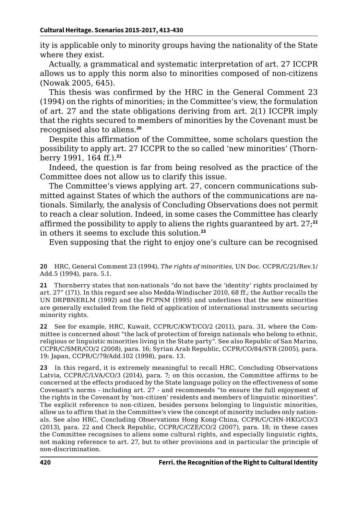ity is applicable only to minority groups having the nationality of the State where they exist.

Actually, a grammatical and systematic interpretation of art. 27 ICCPR allows us to apply this norm also to minorities composed of non-citizens (Nowak 2005, 645).

This thesis was confirmed by the HRC in the General Comment 23 (1994) on the rights of minorities; in the Committee's view, the formulation of art. 27 and the state obligations deriving from art. 2(1) ICCPR imply that the rights secured to members of minorities by the Covenant must be recognised also to aliens.**<sup>20</sup>**

Despite this affirmation of the Committee, some scholars question the possibility to apply art. 27 ICCPR to the so called 'new minorities' (Thornberry 1991, 164 ff.).**<sup>21</sup>**

Indeed, the question is far from being resolved as the practice of the Committee does not allow us to clarify this issue.

The Committee's views applying art. 27, concern communications submitted against States of which the authors of the communications are nationals. Similarly, the analysis of Concluding Observations does not permit to reach a clear solution. Indeed, in some cases the Committee has clearly affirmed the possibility to apply to aliens the rights guaranteed by art. 27;**<sup>22</sup>** in others it seems to exclude this solution.**<sup>23</sup>**

Even supposing that the right to enjoy one's culture can be recognised

**20** HRC, General Comment 23 (1994), *The rights of minorities*, UN Doc. CCPR/C/21/Rev.1/ Add.5 (1994), para. 5.1.

**21** Thornberry states that non-nationals "do not have the 'identity' rights proclaimed by art. 27" (171). In this regard see also Medda-Windischer 2010, 68 ff.; the Author recalls the UN DRPBNERLM (1992) and the FCPNM (1995) and underlines that the new minorities are generally excluded from the field of application of international instruments securing minority rights.

**22** See for example, HRC, Kuwait, CCPR/C/KWT/CO/2 (2011), para. 31, where the Committee is concerned about "the lack of protection of foreign nationals who belong to ethnic, religious or linguistic minorities living in the State party". See also Republic of San Marino, CCPR/C/SMR/CO/2 (2008), para. 16; Syrian Arab Republic, CCPR/CO/84/SYR (2005), para. 19; Japan, CCPR/C/79/Add.102 (1998), para. 13.

**23** In this regard, it is extremely meaningful to recall HRC, Concluding Observations Latvia, CCPR/C/LVA/CO/3 (2014), para. 7; on this occasion, the Committee affirms to be concerned at the effects produced by the State language policy on the effectiveness of some Covenant's norms - including art. 27 - and recommends "to ensure the full enjoyment of the rights in the Covenant by 'non-citizen' residents and members of linguistic minorities". The explicit reference to non-citizen, besides persons belonging to linguistic minorities, allow us to affirm that in the Committee's view the concept of minority includes only nationals. See also HRC, Concluding Observations Hong Kong-China, CCPR/C/CHN-HKG/CO/3 (2013), para. 22 and Check Republic, CCPR/C/CZE/CO/2 (2007), para. 18; in these cases the Committee recognises to aliens some cultural rights, and especially linguistic rights, not making reference to art. 27, but to other provisions and in particular the principle of non-discrimination.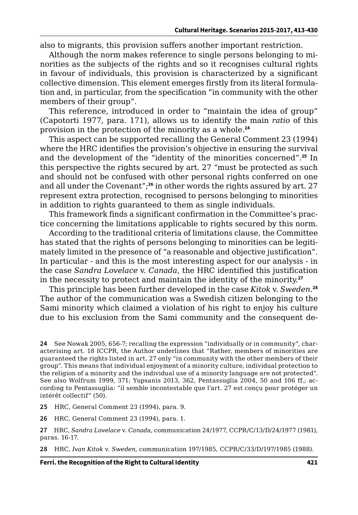also to migrants, this provision suffers another important restriction.

Although the norm makes reference to single persons belonging to minorities as the subjects of the rights and so it recognises cultural rights in favour of individuals, this provision is characterized by a significant collective dimension. This element emerges firstly from its literal formulation and, in particular, from the specification "in community with the other members of their group".

This reference, introduced in order to "maintain the idea of group" (Capotorti 1977, para. 171), allows us to identify the main *ratio* of this provision in the protection of the minority as a whole.**<sup>24</sup>**

This aspect can be supported recalling the General Comment 23 (1994) where the HRC identifies the provision's objective in ensuring the survival and the development of the "identity of the minorities concerned".**<sup>25</sup>** In this perspective the rights secured by art. 27 "must be protected as such and should not be confused with other personal rights conferred on one and all under the Covenant";**<sup>26</sup>** in other words the rights assured by art. 27 represent extra protection, recognised to persons belonging to minorities in addition to rights guaranteed to them as single individuals.

This framework finds a significant confirmation in the Committee's practice concerning the limitations applicable to rights secured by this norm.

According to the traditional criteria of limitations clause, the Committee has stated that the rights of persons belonging to minorities can be legitimately limited in the presence of "a reasonable and objective justification". In particular - and this is the most interesting aspect for our analysis - in the case *Sandra Lovelace* v. *Canada*, the HRC identified this justification in the necessity to protect and maintain the identity of the minority.**<sup>27</sup>**

This principle has been further developed in the case *Kitok* v. *Sweden*. **28** The author of the communication was a Swedish citizen belonging to the Sami minority which claimed a violation of his right to enjoy his culture due to his exclusion from the Sami community and the consequent de-

**25** HRC, General Comment 23 (1994), para. 9.

**26** HRC, General Comment 23 (1994), para. 1.

**27** HRC, *Sandra Lovelace* v. *Canad*a, communication 24/1977, CCPR/C/13/D/24/1977 (1981), paras. 16-17.

**28** HRC, *Ivan Kitok* v. *Sweden*, communication 197/1985, CCPR/C/33/D/197/1985 (1988).

**<sup>24</sup>** See Nowak 2005, 656-7; recalling the expression "individually or in community", characterising art. 18 ICCPR, the Author underlines that "Rather, members of minorities are guaranteed the rights listed in art. 27 only "in community with the other members of their group". This means that individual enjoyment of a minority culture, individual protection to the religion of a minority and the individual use of a minority language are not protected". See also Wolfrum 1999, 371; Yupsanis 2013, 362, Pentassuglia 2004, 50 and 106 ff.; according to Pentassuglia: "il semble incontestable que l'art. 27 est conçu pour protéger un intérêt collectif" (50).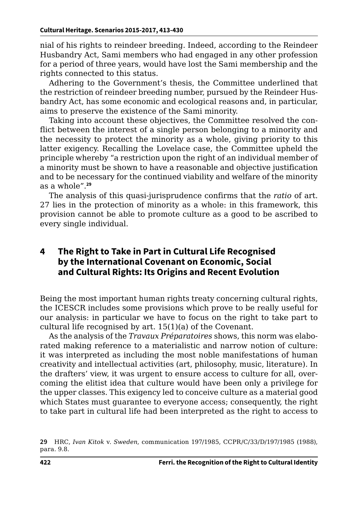nial of his rights to reindeer breeding. Indeed, according to the Reindeer Husbandry Act, Sami members who had engaged in any other profession for a period of three years, would have lost the Sami membership and the rights connected to this status.

Adhering to the Government's thesis, the Committee underlined that the restriction of reindeer breeding number, pursued by the Reindeer Husbandry Act, has some economic and ecological reasons and, in particular, aims to preserve the existence of the Sami minority.

Taking into account these objectives, the Committee resolved the conflict between the interest of a single person belonging to a minority and the necessity to protect the minority as a whole, giving priority to this latter exigency. Recalling the Lovelace case, the Committee upheld the principle whereby "a restriction upon the right of an individual member of a minority must be shown to have a reasonable and objective justification and to be necessary for the continued viability and welfare of the minority as a whole".**<sup>29</sup>**

The analysis of this quasi-jurisprudence confirms that the *ratio* of art. 27 lies in the protection of minority as a whole: in this framework, this provision cannot be able to promote culture as a good to be ascribed to every single individual.

#### **4 The Right to Take in Part in Cultural Life Recognised by the International Covenant on Economic, Social and Cultural Rights: Its Origins and Recent Evolution**

Being the most important human rights treaty concerning cultural rights, the ICESCR includes some provisions which prove to be really useful for our analysis: in particular we have to focus on the right to take part to cultural life recognised by art. 15(1)(a) of the Covenant.

As the analysis of the *Travaux Préparatoires* shows, this norm was elaborated making reference to a materialistic and narrow notion of culture: it was interpreted as including the most noble manifestations of human creativity and intellectual activities (art, philosophy, music, literature). In the drafters' view, it was urgent to ensure access to culture for all, overcoming the elitist idea that culture would have been only a privilege for the upper classes. This exigency led to conceive culture as a material good which States must guarantee to everyone access; consequently, the right to take part in cultural life had been interpreted as the right to access to

**<sup>29</sup>** HRC, *Ivan Kitok* v. *Sweden*, communication 197/1985, CCPR/C/33/D/197/1985 (1988), para. 9.8.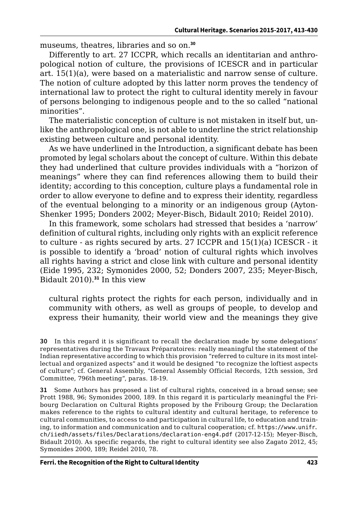museums, theatres, libraries and so on.**<sup>30</sup>**

Differently to art. 27 ICCPR, which recalls an identitarian and anthropological notion of culture, the provisions of ICESCR and in particular art. 15(1)(a), were based on a materialistic and narrow sense of culture. The notion of culture adopted by this latter norm proves the tendency of international law to protect the right to cultural identity merely in favour of persons belonging to indigenous people and to the so called "national minorities".

The materialistic conception of culture is not mistaken in itself but, unlike the anthropological one, is not able to underline the strict relationship existing between culture and personal identity.

As we have underlined in the Introduction, a significant debate has been promoted by legal scholars about the concept of culture. Within this debate they had underlined that culture provides individuals with a "horizon of meanings" where they can find references allowing them to build their identity; according to this conception, culture plays a fundamental role in order to allow everyone to define and to express their identity, regardless of the eventual belonging to a minority or an indigenous group (Ayton-Shenker 1995; Donders 2002; Meyer-Bisch, Bidault 2010; Reidel 2010).

In this framework, some scholars had stressed that besides a 'narrow' definition of cultural rights, including only rights with an explicit reference to culture - as rights secured by arts. 27 ICCPR and 15(1)(a) ICESCR - it is possible to identify a 'broad' notion of cultural rights which involves all rights having a strict and close link with culture and personal identity (Eide 1995, 232; Symonides 2000, 52; Donders 2007, 235; Meyer-Bisch, Bidault 2010).**<sup>31</sup>** In this view

cultural rights protect the rights for each person, individually and in community with others, as well as groups of people, to develop and express their humanity, their world view and the meanings they give

**31** Some Authors has proposed a list of cultural rights, conceived in a broad sense; see Prott 1988, 96; Symonides 2000, 189. In this regard it is particularly meaningful the Fribourg Declaration on Cultural Rights proposed by the Fribourg Group; the Declaration makes reference to the rights to cultural identity and cultural heritage, to reference to cultural communities, to access to and participation in cultural life, to education and training, to information and communication and to cultural cooperation; cf. [https://www.unifr.](https://www.unifr.ch/iiedh/assets/files/Declarations/declaration-eng4.pdf) [ch/iiedh/assets/files/Declarations/declaration-eng4.pdf](https://www.unifr.ch/iiedh/assets/files/Declarations/declaration-eng4.pdf) (2017-12-15); Meyer-Bisch, Bidault 2010). As specific regards, the right to cultural identity see also Zagato 2012, 45; Symonides 2000, 189; Reidel 2010, 78.

**<sup>30</sup>** In this regard it is significant to recall the declaration made by some delegations' representatives during the Travaux Préparatoires: really meaningful the statement of the Indian representative according to which this provision "referred to culture in its most intellectual and organized aspects" and it would be designed "to recognize the loftiest aspects of culture"; cf. General Assembly, "General Assembly Official Records, 12th session, 3rd Committee, 796th meeting", paras. 18-19.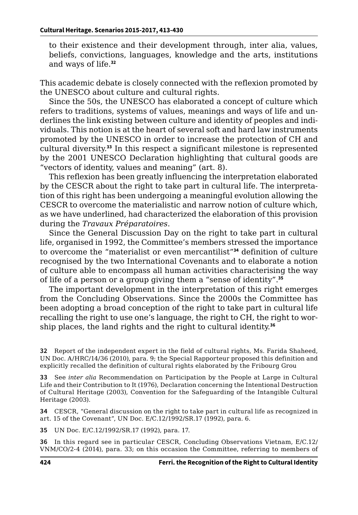to their existence and their development through, inter alia, values, beliefs, convictions, languages, knowledge and the arts, institutions and ways of life.**<sup>32</sup>**

This academic debate is closely connected with the reflexion promoted by the UNESCO about culture and cultural rights.

Since the 50s, the UNESCO has elaborated a concept of culture which refers to traditions, systems of values, meanings and ways of life and underlines the link existing between culture and identity of peoples and individuals. This notion is at the heart of several soft and hard law instruments promoted by the UNESCO in order to increase the protection of CH and cultural diversity.**<sup>33</sup>** In this respect a significant milestone is represented by the 2001 UNESCO Declaration highlighting that cultural goods are "vectors of identity, values and meaning" (art. 8).

This reflexion has been greatly influencing the interpretation elaborated by the CESCR about the right to take part in cultural life. The interpretation of this right has been undergoing a meaningful evolution allowing the CESCR to overcome the materialistic and narrow notion of culture which, as we have underlined, had characterized the elaboration of this provision during the *Travaux Préparatoires*.

Since the General Discussion Day on the right to take part in cultural life, organised in 1992, the Committee's members stressed the importance to overcome the "materialist or even mercantilist"**<sup>34</sup>** definition of culture recognised by the two International Covenants and to elaborate a notion of culture able to encompass all human activities characterising the way of life of a person or a group giving them a "sense of identity".**<sup>35</sup>**

The important development in the interpretation of this right emerges from the Concluding Observations. Since the 2000s the Committee has been adopting a broad conception of the right to take part in cultural life recalling the right to use one's language, the right to CH, the right to worship places, the land rights and the right to cultural identity.**<sup>36</sup>**

**32** Report of the independent expert in the field of cultural rights, Ms. Farida Shaheed, UN Doc. A/HRC/14/36 (2010), para. 9; the Special Rapporteur proposed this definition and explicitly recalled the definition of cultural rights elaborated by the Fribourg Grou

**33** See *inter alia* Recommendation on Participation by the People at Large in Cultural Life and their Contribution to It (1976), Declaration concerning the Intentional Destruction of Cultural Heritage (2003), Convention for the Safeguarding of the Intangible Cultural Heritage (2003).

**34** CESCR, "General discussion on the right to take part in cultural life as recognized in art. 15 of the Covenant", UN Doc. E/C.12/1992/SR.17 (1992), para. 6.

**35** UN Doc. E/C.12/1992/SR.17 (1992), para. 17.

**36** In this regard see in particular CESCR, Concluding Observations Vietnam, E/C.12/ VNM/CO/2-4 (2014), para. 33; on this occasion the Committee, referring to members of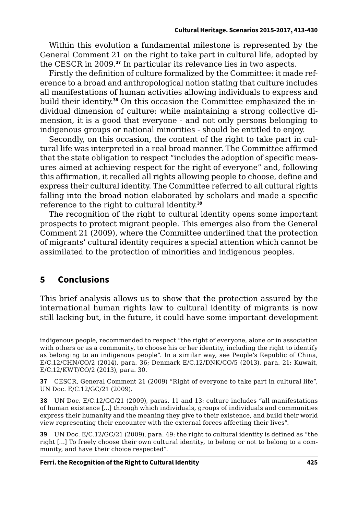Within this evolution a fundamental milestone is represented by the General Comment 21 on the right to take part in cultural life, adopted by the CESCR in 2009.**<sup>37</sup>** In particular its relevance lies in two aspects.

Firstly the definition of culture formalized by the Committee: it made reference to a broad and anthropological notion stating that culture includes all manifestations of human activities allowing individuals to express and build their identity.**38** On this occasion the Committee emphasized the individual dimension of culture: while maintaining a strong collective dimension, it is a good that everyone - and not only persons belonging to indigenous groups or national minorities - should be entitled to enjoy.

Secondly, on this occasion, the content of the right to take part in cultural life was interpreted in a real broad manner. The Committee affirmed that the state obligation to respect "includes the adoption of specific measures aimed at achieving respect for the right of everyone" and, following this affirmation, it recalled all rights allowing people to choose, define and express their cultural identity. The Committee referred to all cultural rights falling into the broad notion elaborated by scholars and made a specific reference to the right to cultural identity.**<sup>39</sup>**

The recognition of the right to cultural identity opens some important prospects to protect migrant people. This emerges also from the General Comment 21 (2009), where the Committee underlined that the protection of migrants' cultural identity requires a special attention which cannot be assimilated to the protection of minorities and indigenous peoples.

### **5 Conclusions**

This brief analysis allows us to show that the protection assured by the international human rights law to cultural identity of migrants is now still lacking but, in the future, it could have some important development

indigenous people, recommended to respect "the right of everyone, alone or in association with others or as a community, to choose his or her identity, including the right to identify as belonging to an indigenous people". In a similar way, see People's Republic of China, E/C.12/CHN/CO/2 (2014), para. 36; Denmark E/C.12/DNK/CO/5 (2013), para. 21; Kuwait, E/C.12/KWT/CO/2 (2013), para. 30.

**37** CESCR, General Comment 21 (2009) "Right of everyone to take part in cultural life", UN Doc. E/C.12/GC/21 (2009).

**38** UN Doc. E/C.12/GC/21 (2009), paras. 11 and 13: culture includes "all manifestations of human existence […] through which individuals, groups of individuals and communities express their humanity and the meaning they give to their existence, and build their world view representing their encounter with the external forces affecting their lives".

**39** UN Doc. E/C.12/GC/21 (2009), para. 49: the right to cultural identity is defined as "the right […] To freely choose their own cultural identity, to belong or not to belong to a community, and have their choice respected".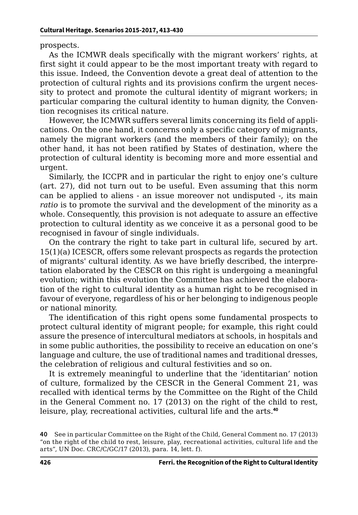prospects.

As the ICMWR deals specifically with the migrant workers' rights, at first sight it could appear to be the most important treaty with regard to this issue. Indeed, the Convention devote a great deal of attention to the protection of cultural rights and its provisions confirm the urgent necessity to protect and promote the cultural identity of migrant workers; in particular comparing the cultural identity to human dignity, the Convention recognises its critical nature.

However, the ICMWR suffers several limits concerning its field of applications. On the one hand, it concerns only a specific category of migrants, namely the migrant workers (and the members of their family); on the other hand, it has not been ratified by States of destination, where the protection of cultural identity is becoming more and more essential and urgent.

Similarly, the ICCPR and in particular the right to enjoy one's culture (art. 27), did not turn out to be useful. Even assuming that this norm can be applied to aliens - an issue moreover not undisputed -, its main *ratio* is to promote the survival and the development of the minority as a whole. Consequently, this provision is not adequate to assure an effective protection to cultural identity as we conceive it as a personal good to be recognised in favour of single individuals.

On the contrary the right to take part in cultural life, secured by art. 15(1)(a) ICESCR, offers some relevant prospects as regards the protection of migrants' cultural identity. As we have briefly described, the interpretation elaborated by the CESCR on this right is undergoing a meaningful evolution; within this evolution the Committee has achieved the elaboration of the right to cultural identity as a human right to be recognised in favour of everyone, regardless of his or her belonging to indigenous people or national minority.

The identification of this right opens some fundamental prospects to protect cultural identity of migrant people; for example, this right could assure the presence of intercultural mediators at schools, in hospitals and in some public authorities, the possibility to receive an education on one's language and culture, the use of traditional names and traditional dresses, the celebration of religious and cultural festivities and so on.

It is extremely meaningful to underline that the 'identitarian' notion of culture, formalized by the CESCR in the General Comment 21, was recalled with identical terms by the Committee on the Right of the Child in the General Comment no. 17 (2013) on the right of the child to rest, leisure, play, recreational activities, cultural life and the arts.**<sup>40</sup>**

**<sup>40</sup>** See in particular Committee on the Right of the Child, General Comment no. 17 (2013) "on the right of the child to rest, leisure, play, recreational activities, cultural life and the arts", UN Doc. CRC/C/GC/17 (2013), para. 14, lett. f).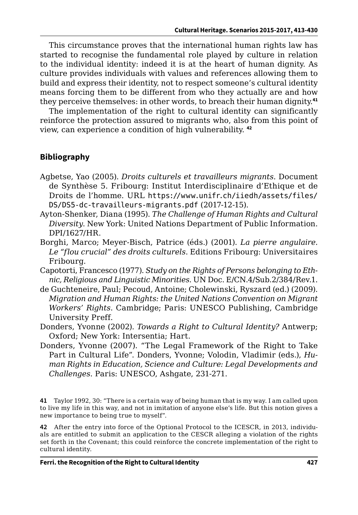This circumstance proves that the international human rights law has started to recognise the fundamental role played by culture in relation to the individual identity: indeed it is at the heart of human dignity. As culture provides individuals with values and references allowing them to build and express their identity, not to respect someone's cultural identity means forcing them to be different from who they actually are and how they perceive themselves: in other words, to breach their human dignity.**<sup>41</sup>**

The implementation of the right to cultural identity can significantly reinforce the protection assured to migrants who, also from this point of view, can experience a condition of high vulnerability. **<sup>42</sup>**

#### **Bibliography**

- Agbetse, Yao (2005). *Droits culturels et travailleurs migrants*. Document de Synthèse 5. Fribourg: Institut Interdisciplinaire d'Ethique et de Droits de l'homme. URL [https://www.unifr.ch/iiedh/assets/files/](https://www.unifr.ch/iiedh/assets/files/DS/DS5-dc-travailleurs-migrants.pdf) [DS/DS5-dc-travailleurs-migrants.pdf](https://www.unifr.ch/iiedh/assets/files/DS/DS5-dc-travailleurs-migrants.pdf) (2017-12-15).
- Ayton-Shenker, Diana (1995). *The Challenge of Human Rights and Cultural Diversity*. New York: United Nations Department of Public Information. DPI/1627/HR.
- Borghi, Marco; Meyer-Bisch, Patrice (éds.) (2001). *La pierre angulaire. Le "flou crucial" des droits culturels*. Editions Fribourg: Universitaires Fribourg.
- Capotorti, Francesco (1977). *Study on the Rights of Persons belonging to Ethnic, Religious and Linguistic Minorities*. UN Doc. E/CN.4/Sub.2/384/Rev.1.
- de Guchteneire, Paul; Pecoud, Antoine; Cholewinski, Ryszard (ed.) (2009). *Migration and Human Rights: the United Nations Convention on Migrant Workers' Rights*. Cambridge; Paris: UNESCO Publishing, Cambridge University Preff.
- Donders, Yvonne (2002). *Towards a Right to Cultural Identity?* Antwerp; Oxford; New York: Intersentia; Hart.
- Donders, Yvonne (2007). "The Legal Framework of the Right to Take Part in Cultural Life". Donders, Yvonne; Volodin, Vladimir (eds.), *Human Rights in Education, Science and Culture: Legal Developments and Challenges*. Paris: UNESCO, Ashgate, 231-271.

**41** Taylor 1992, 30: "There is a certain way of being human that is my way. I am called upon to live my life in this way, and not in imitation of anyone else's life. But this notion gives a new importance to being true to myself".

**42** After the entry into force of the Optional Protocol to the ICESCR, in 2013, individuals are entitled to submit an application to the CESCR alleging a violation of the rights set forth in the Covenant; this could reinforce the concrete implementation of the right to cultural identity.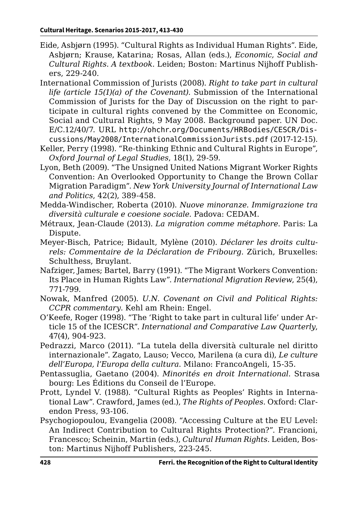- Eide, Asbjørn (1995). "Cultural Rights as Individual Human Rights". Eide, Asbjørn; Krause, Katarina; Rosas, Allan (eds.), *Economic, Social and Cultural Rights. A textbook*. Leiden; Boston: Martinus Nijhoff Publishers, 229-240.
- International Commission of Jurists (2008). *Right to take part in cultural life (article 15(1)(a) of the Covenant)*. Submission of the International Commission of Jurists for the Day of Discussion on the right to participate in cultural rights convened by the Committee on Economic, Social and Cultural Rights, 9 May 2008. Background paper. UN Doc. E/C.12/40/7. URL [http://ohchr.org/Documents/HRBodies/CESCR/Dis](http://ohchr.org/Documents/HRBodies/CESCR/Discussions/May2008/InternationalCommissionJurists.pdf)[cussions/May2008/InternationalCommissionJurists.pdf](http://ohchr.org/Documents/HRBodies/CESCR/Discussions/May2008/InternationalCommissionJurists.pdf) (2017-12-15).
- Keller, Perry (1998). "Re-thinking Ethnic and Cultural Rights in Europe", *Oxford Journal of Legal Studies*, 18(1), 29-59.
- Lyon, Beth (2009). "The Unsigned United Nations Migrant Worker Rights Convention: An Overlooked Opportunity to Change the Brown Collar Migration Paradigm". *New York University Journal of International Law and Politics*, 42(2), 389-458.
- Medda-Windischer, Roberta (2010). *Nuove minoranze. Immigrazione tra diversità culturale e coesione sociale*. Padova: CEDAM.
- Métraux, Jean-Claude (2013). *La migration comme métaphore*. Paris: La Dispute.
- Meyer-Bisch, Patrice; Bidault, Mylène (2010). *Déclarer les droits culturels: Commentaire de la Déclaration de Fribourg*. Zürich, Bruxelles: Schulthess, Bruylant.
- Nafziger, James; Bartel, Barry (1991). "The Migrant Workers Convention: Its Place in Human Rights Law". *International Migration Review*, 25(4), 771-799.
- Nowak, Manfred (2005). *U.N. Covenant on Civil and Political Rights: CCPR commentary*. Kehl am Rhein: Engel.
- O'Keefe, Roger (1998). "The 'Right to take part in cultural life' under Article 15 of the ICESCR". *International and Comparative Law Quarterly*, 47(4), 904-923.
- Pedrazzi, Marco (2011). "La tutela della diversità culturale nel diritto internazionale". Zagato, Lauso; Vecco, Marilena (a cura di), *Le culture dell'Europa, l'Europa della cultura*. Milano: FrancoAngeli, 15-35.
- Pentassuglia, Gaetano (2004). *Minorités en droit International*. Strasa bourg: Les Éditions du Conseil de l'Europe.
- Prott, Lyndel V. (1988). "Cultural Rights as Peoples' Rights in International Law". Crawford, James (ed.), *The Rights of Peoples*. Oxford: Clarendon Press, 93-106.
- Psychogiopoulou, Evangelia (2008). "Accessing Culture at the EU Level: An Indirect Contribution to Cultural Rights Protection?". Francioni, Francesco; Scheinin, Martin (eds.), *Cultural Human Rights*. Leiden, Boston: Martinus Nijhoff Publishers, 223-245.